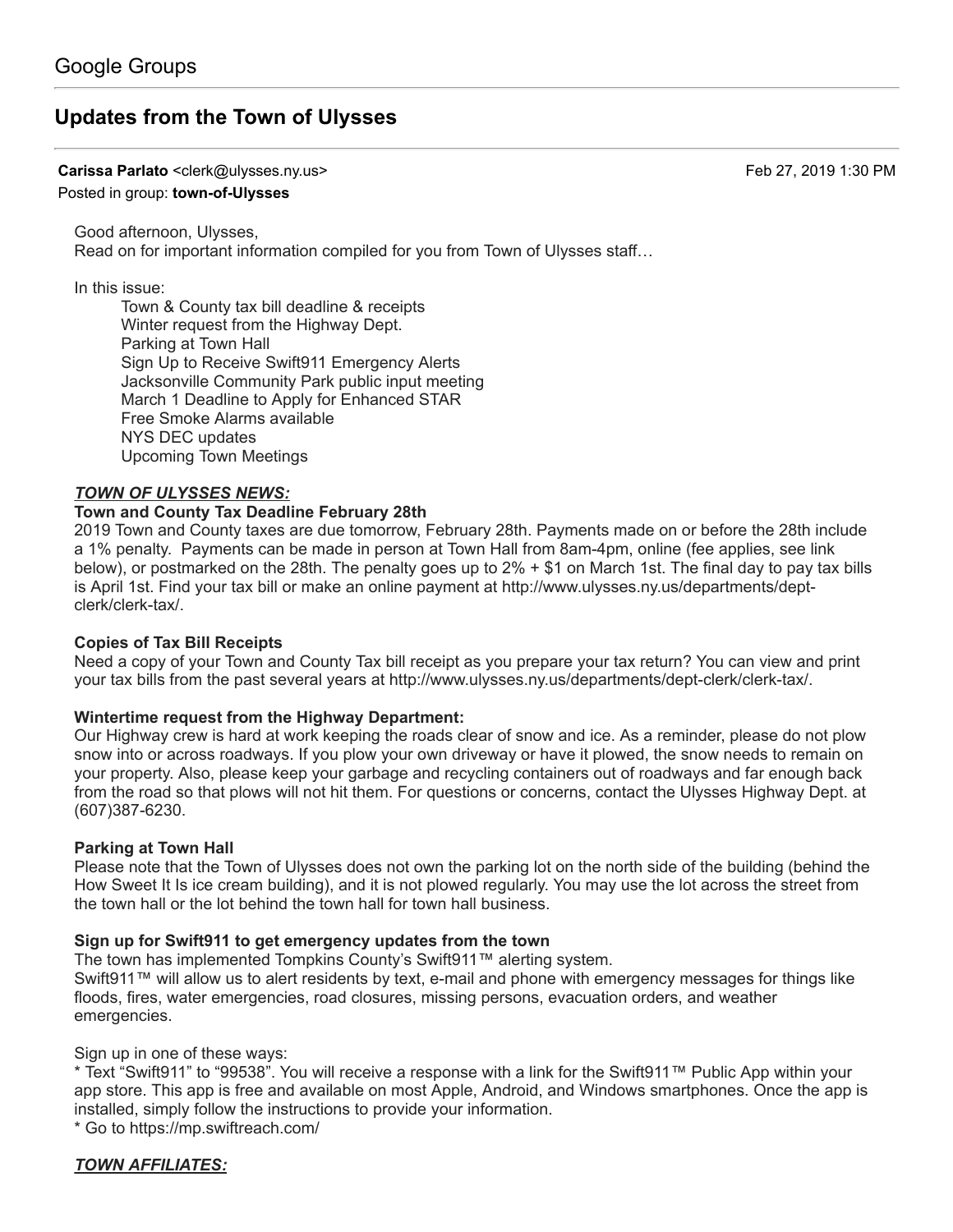# **[Updates from the Town of Ulysses](https://groups.google.com/d/topic/town-of-ulysses/4pv6bStZ-hA)**

**Carissa Parlato** <clerk@ulysses.ny.us> Feb 27, 2019 1:30 PM

#### Posted in group: **[town-of-Ulysses](https://groups.google.com/d/forum/town-of-ulysses)**

Good afternoon, Ulysses, Read on for important information compiled for you from Town of Ulysses staff…

In this issue:

Town & County tax bill deadline & receipts Winter request from the Highway Dept. Parking at Town Hall Sign Up to Receive Swift911 Emergency Alerts Jacksonville Community Park public input meeting March 1 Deadline to Apply for Enhanced STAR Free Smoke Alarms available NYS DEC updates Upcoming Town Meetings

#### *TOWN OF ULYSSES NEWS:*

#### **Town and County Tax Deadline February 28th**

2019 Town and County taxes are due tomorrow, February 28th. Payments made on or before the 28th include a 1% penalty. Payments can be made in person at Town Hall from 8am-4pm, online (fee applies, see link below), or postmarked on the 28th. The penalty goes up to 2% + \$1 on March 1st. The final day to pay tax bills [is April 1st. Find your tax bill or make an online payment at http://www.ulysses.ny.us/departments/dept](http://www.ulysses.ny.us/departments/dept-clerk/clerk-tax/)clerk/clerk-tax/.

#### **Copies of Tax Bill Receipts**

Need a copy of your Town and County Tax bill receipt as you prepare your tax return? You can view and print your tax bills from the past several years at [http://www.ulysses.ny.us/departments/dept-clerk/clerk-tax/.](http://www.ulysses.ny.us/departments/dept-clerk/clerk-tax/)

#### **Wintertime request from the Highway Department:**

Our Highway crew is hard at work keeping the roads clear of snow and ice. As a reminder, please do not plow snow into or across roadways. If you plow your own driveway or have it plowed, the snow needs to remain on your property. Also, please keep your garbage and recycling containers out of roadways and far enough back from the road so that plows will not hit them. For questions or concerns, contact the Ulysses Highway Dept. at (607)387-6230.

#### **Parking at Town Hall**

Please note that the Town of Ulysses does not own the parking lot on the north side of the building (behind the How Sweet It Is ice cream building), and it is not plowed regularly. You may use the lot across the street from the town hall or the lot behind the town hall for town hall business.

#### **Sign up for Swift911 to get emergency updates from the town**

The town has implemented Tompkins County's Swift911™ alerting system.

Swift911™ will allow us to alert residents by text, e-mail and phone with emergency messages for things like floods, fires, water emergencies, road closures, missing persons, evacuation orders, and weather emergencies.

Sign up in one of these ways:

\* Text "Swift911" to "99538". You will receive a response with a link for the Swift911™ Public App within your app store. This app is free and available on most Apple, Android, and Windows smartphones. Once the app is installed, simply follow the instructions to provide your information. \* Go to<https://mp.swiftreach.com/>

*TOWN AFFILIATES:*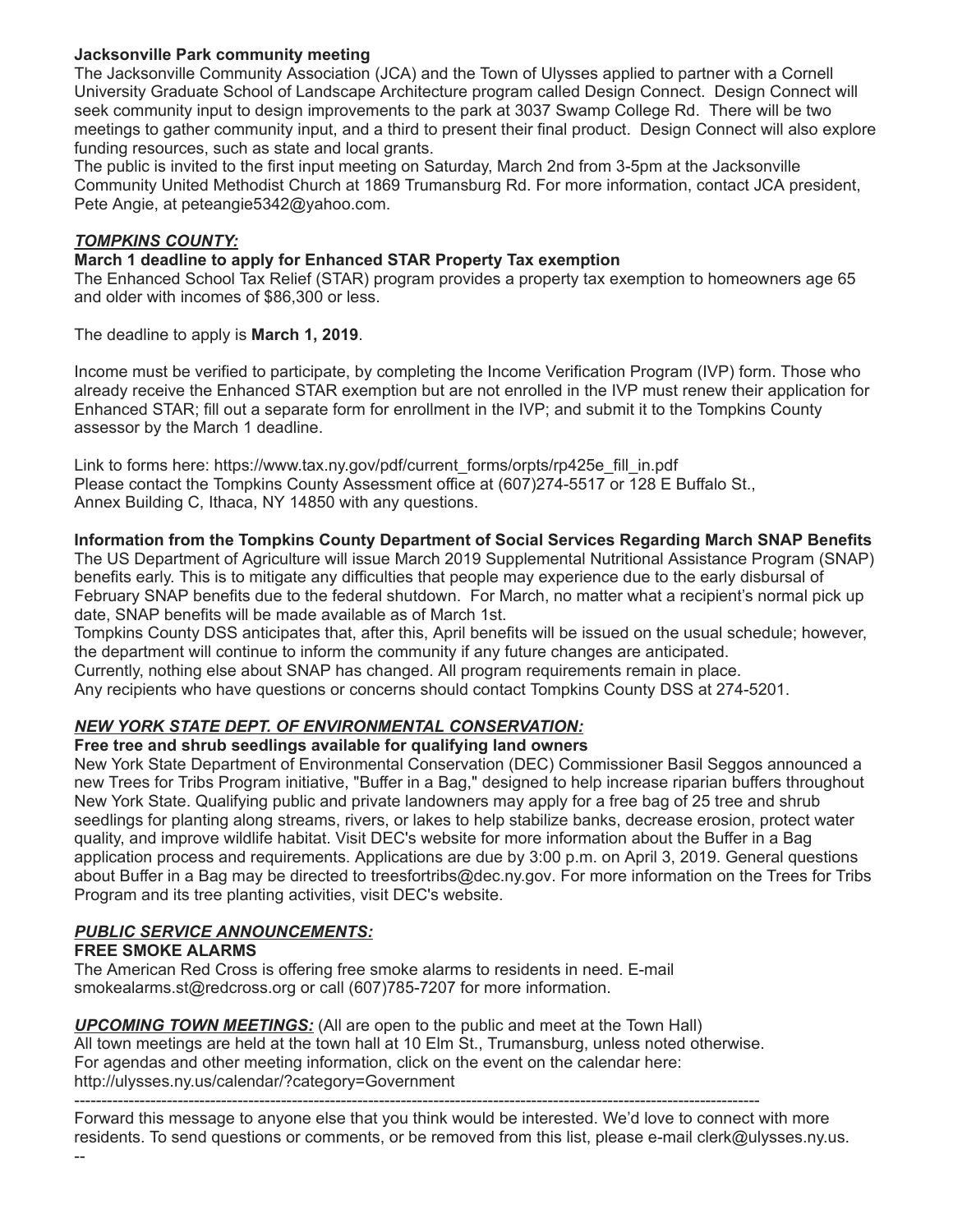# **Jacksonville Park community meeting**

The Jacksonville Community Association (JCA) and the Town of Ulysses applied to partner with a Cornell University Graduate School of Landscape Architecture program called Design Connect. Design Connect will seek community input to design improvements to the park at 3037 Swamp College Rd. There will be two meetings to gather community input, and a third to present their final product. Design Connect will also explore funding resources, such as state and local grants.

The public is invited to the first input meeting on Saturday, March 2nd from 3-5pm at the Jacksonville Community United Methodist Church at 1869 Trumansburg Rd. For more information, contact JCA president, Pete Angie, at [peteangie5342@yahoo.com](mailto:peteangie5342@yahoo.com).

### *TOMPKINS COUNTY:*

# **March 1 deadline to apply for Enhanced STAR Property Tax exemption**

The Enhanced School Tax Relief (STAR) program provides a property tax exemption to homeowners age 65 and older with incomes of \$86,300 or less.

The deadline to apply is **March 1, 2019**.

Income must be verified to participate, by completing the Income Verification Program (IVP) form. Those who already receive the Enhanced STAR exemption but are not enrolled in the IVP must renew their application for Enhanced STAR; fill out a separate form for enrollment in the IVP; and submit it to the Tompkins County assessor by the March 1 deadline.

Link to forms here: [https://www.tax.ny.gov/pdf/current\\_forms/orpts/rp425e\\_fill\\_in.pdf](https://www.tax.ny.gov/pdf/current_forms/orpts/rp425e_fill_in.pdf.) Please contact the Tompkins County Assessment office at (607)274-5517 or 128 E Buffalo St., Annex Building C, Ithaca, NY 14850 with any questions.

# **Information from the Tompkins County Department of Social Services Regarding March SNAP Benefits**

The US Department of Agriculture will issue March 2019 Supplemental Nutritional Assistance Program (SNAP) benefits early. This is to mitigate any difficulties that people may experience due to the early disbursal of February SNAP benefits due to the federal shutdown. For March, no matter what a recipient's normal pick up date, SNAP benefits will be made available as of March 1st.

Tompkins County DSS anticipates that, after this, April benefits will be issued on the usual schedule; however, the department will continue to inform the community if any future changes are anticipated.

Currently, nothing else about SNAP has changed. All program requirements remain in place.

Any recipients who have questions or concerns should contact Tompkins County DSS at 274-5201.

# *NEW YORK STATE DEPT. OF ENVIRONMENTAL CONSERVATION:*

#### **Free tree and shrub seedlings available for qualifying land owners**

New York State Department of Environmental Conservation (DEC) Commissioner Basil Seggos announced a new Trees for Tribs Program initiative, "Buffer in a Bag," designed to help increase riparian buffers throughout New York State. Qualifying public and private landowners may apply for a free bag of 25 tree and shrub seedlings for planting along streams, rivers, or lakes to help stabilize banks, decrease erosion, protect water quality, and improve wildlife habitat. Visit DEC's website for more information about the Buffer in a Bag application process and requirements. Applications are due by 3:00 p.m. on April 3, 2019. General questions about Buffer in a Bag may be directed to [treesfortribs@dec.ny.gov.](mailto:treesfortribs@dec.ny.gov) For more information on the Trees for Tribs Program and its tree planting activities, visit DEC's website.

# *PUBLIC SERVICE ANNOUNCEMENTS:*

#### **FREE SMOKE ALARMS**

The American Red Cross is offering free smoke alarms to residents in need. E-mail [smokealarms.st@redcross.org](mailto:smokealarms.st@redcross.org) or call (607)785-7207 for more information.

*UPCOMING TOWN MEETINGS:* (All are open to the public and meet at the Town Hall) All town meetings are held at the town hall at 10 Elm St., Trumansburg, unless noted otherwise. For agendas and other meeting information, click on the event on the calendar here: <http://ulysses.ny.us/calendar/?category=Government>

------------------------------------------------------------------------------------------------------------------------------

Forward this message to anyone else that you think would be interested. We'd love to connect with more residents. To send questions or comments, or be removed from this list, please e-mail [clerk@ulysses.ny.us.](mailto:clerk@ulysses.ny.us)